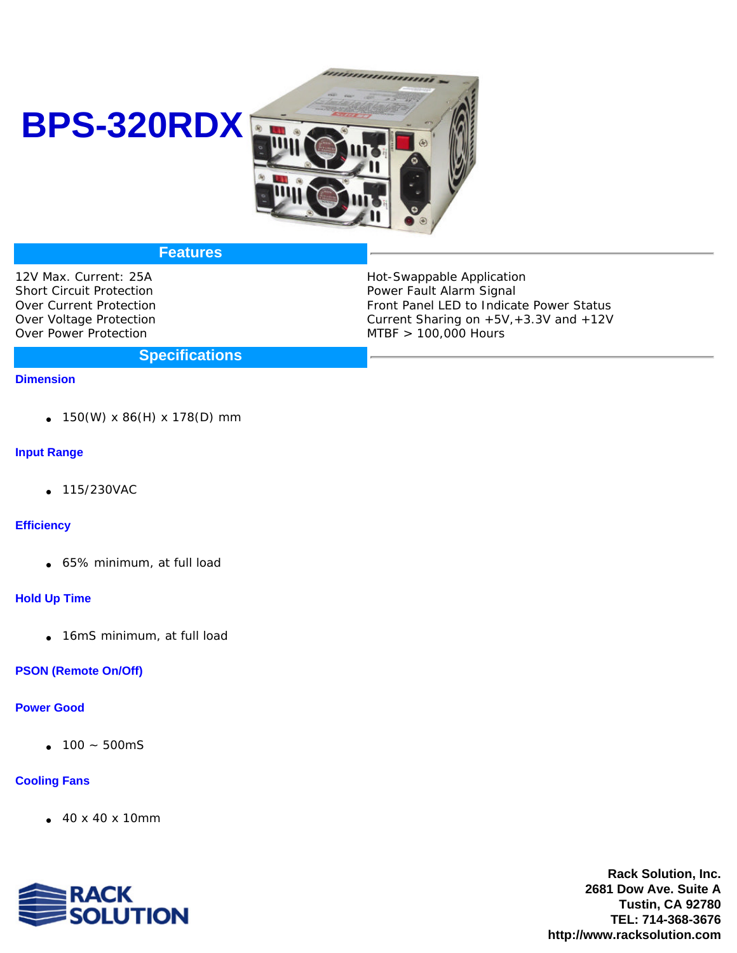# **BPS-320RDX**



# **Features**

12V Max. Current: 25A Short Circuit Protection Over Current Protection Over Voltage Protection Over Power Protection

Hot-Swappable Application Power Fault Alarm Signal Front Panel LED to Indicate Power Status Current Sharing on  $+5V, +3.3V$  and  $+12V$ MTBF > 100,000 Hours

## **Specifications**

#### **Dimension**

150(W) x 86(H) x 178(D) mm

### **Input Range**

115/230VAC

### **Efficiency**

65% minimum, at full load

### **Hold Up Time**

16mS minimum, at full load

### **PSON (Remote On/Off)**

## **Power Good**

100 ~ 500mS

## **Cooling Fans**

40 x 40 x 10mm



**Rack Solution, Inc. 2681 Dow Ave. Suite A Tustin, CA 92780 TEL: 714-368-3676 http://www.racksolution.com**